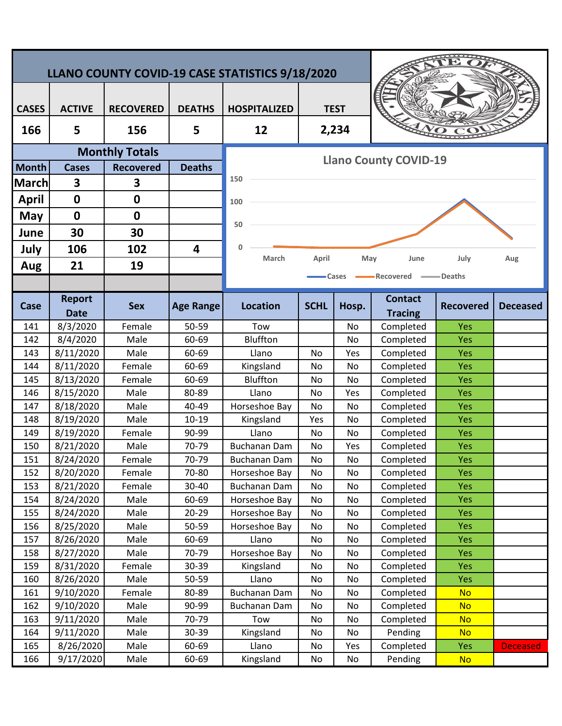| LLANO COUNTY COVID-19 CASE STATISTICS 9/18/2020 |                        |                  |                    |                                         |             |          |                        |                  |                 |  |
|-------------------------------------------------|------------------------|------------------|--------------------|-----------------------------------------|-------------|----------|------------------------|------------------|-----------------|--|
|                                                 |                        |                  |                    |                                         |             |          |                        |                  |                 |  |
| <b>CASES</b>                                    | <b>ACTIVE</b>          | <b>RECOVERED</b> | <b>DEATHS</b>      | <b>HOSPITALIZED</b>                     | <b>TEST</b> |          |                        |                  |                 |  |
| 166                                             | 5                      | 156              | 5                  | 12                                      | 2,234       |          |                        |                  |                 |  |
| <b>Monthly Totals</b>                           |                        |                  |                    | <b>Llano County COVID-19</b>            |             |          |                        |                  |                 |  |
| <b>Month</b>                                    | <b>Cases</b>           | <b>Recovered</b> | <b>Deaths</b>      |                                         |             |          |                        |                  |                 |  |
| <b>March</b>                                    | 3                      | 3                |                    | 150                                     |             |          |                        |                  |                 |  |
| <b>April</b>                                    | $\mathbf 0$            | $\bf{0}$         |                    | 100                                     |             |          |                        |                  |                 |  |
| May                                             | $\mathbf 0$            | $\boldsymbol{0}$ |                    |                                         |             |          |                        |                  |                 |  |
| June                                            | 30                     | 30               |                    | 50                                      |             |          |                        |                  |                 |  |
|                                                 | 106                    | 102              | 4                  | 0                                       |             |          |                        |                  |                 |  |
| July                                            |                        |                  |                    | March                                   | April       | May      | June                   | July             | Aug             |  |
| Aug                                             | 21                     | 19               |                    | <b>I</b> Deaths<br>•Recovered<br>-Cases |             |          |                        |                  |                 |  |
|                                                 |                        |                  |                    |                                         |             |          |                        |                  |                 |  |
| Case                                            | <b>Report</b>          | <b>Sex</b>       | <b>Age Range</b>   | <b>Location</b>                         | <b>SCHL</b> | Hosp.    | <b>Contact</b>         | <b>Recovered</b> | <b>Deceased</b> |  |
|                                                 | <b>Date</b>            |                  |                    |                                         |             |          | <b>Tracing</b>         |                  |                 |  |
| 141                                             | 8/3/2020               | Female           | 50-59              | Tow                                     |             | No       | Completed              | Yes              |                 |  |
| 142                                             | 8/4/2020               | Male             | 60-69              | Bluffton                                |             | No       | Completed              | Yes              |                 |  |
| 143                                             | 8/11/2020              | Male             | 60-69              | Llano                                   | No          | Yes      | Completed              | Yes              |                 |  |
| 144                                             | 8/11/2020              | Female           | 60-69              | Kingsland                               | No          | No       | Completed              | Yes              |                 |  |
| 145                                             | 8/13/2020              | Female           | 60-69              | Bluffton                                | No          | No       | Completed              | Yes              |                 |  |
| 146                                             | 8/15/2020              | Male             | 80-89              | Llano                                   | No          | Yes      | Completed              | Yes              |                 |  |
| 147                                             | 8/18/2020              | Male             | 40-49              | Horseshoe Bay                           | No          | No       | Completed              | Yes              |                 |  |
| 148<br>149                                      | 8/19/2020<br>8/19/2020 | Male<br>Female   | $10 - 19$<br>90-99 | Kingsland<br>Llano                      | Yes<br>No   | No<br>No | Completed<br>Completed | Yes<br>Yes       |                 |  |
| 150                                             | 8/21/2020              | Male             | 70-79              | <b>Buchanan Dam</b>                     | No          | Yes      | Completed              | Yes              |                 |  |
| 151                                             | 8/24/2020              | Female           | 70-79              | <b>Buchanan Dam</b>                     | No          | No       | Completed              | Yes              |                 |  |
| 152                                             | 8/20/2020              | Female           | 70-80              | Horseshoe Bay                           | No          | No       | Completed              | <b>Yes</b>       |                 |  |
| 153                                             | 8/21/2020              | Female           | 30-40              | <b>Buchanan Dam</b>                     | No          | No       | Completed              | <b>Yes</b>       |                 |  |
| 154                                             | 8/24/2020              | Male             | 60-69              | Horseshoe Bay                           | No          | No       | Completed              | Yes              |                 |  |
| 155                                             | 8/24/2020              | Male             | 20-29              | Horseshoe Bay                           | No          | No       | Completed              | <b>Yes</b>       |                 |  |
| 156                                             | 8/25/2020              | Male             | 50-59              | Horseshoe Bay                           | No          | No       | Completed              | Yes              |                 |  |
| 157                                             | 8/26/2020              | Male             | 60-69              | Llano                                   | No          | No       | Completed              | <b>Yes</b>       |                 |  |
| 158                                             | 8/27/2020              | Male             | 70-79              | Horseshoe Bay                           | No          | No       | Completed              | Yes              |                 |  |
| 159                                             | 8/31/2020              | Female           | 30-39              | Kingsland                               | No          | No       | Completed              | <b>Yes</b>       |                 |  |
| 160                                             | 8/26/2020              | Male             | 50-59              | Llano                                   | No          | No       | Completed              | Yes              |                 |  |
| 161                                             | 9/10/2020              | Female           | 80-89              | <b>Buchanan Dam</b>                     | No          | No       | Completed              | <b>No</b>        |                 |  |
| 162                                             | 9/10/2020              | Male             | 90-99              | Buchanan Dam                            | No          | No       | Completed              | <b>No</b>        |                 |  |
| 163                                             | 9/11/2020              | Male             | 70-79              | Tow                                     | No          | No       | Completed              | <b>No</b>        |                 |  |
| 164                                             | 9/11/2020              | Male             | 30-39              | Kingsland                               | No          | No       | Pending                | <b>No</b>        |                 |  |
| 165                                             | 8/26/2020              | Male             | 60-69              | Llano                                   | No          | Yes      | Completed              | Yes              | <b>Deceased</b> |  |
| 166                                             | 9/17/2020              | Male             | 60-69              | Kingsland                               | No          | No       | Pending                | <b>No</b>        |                 |  |